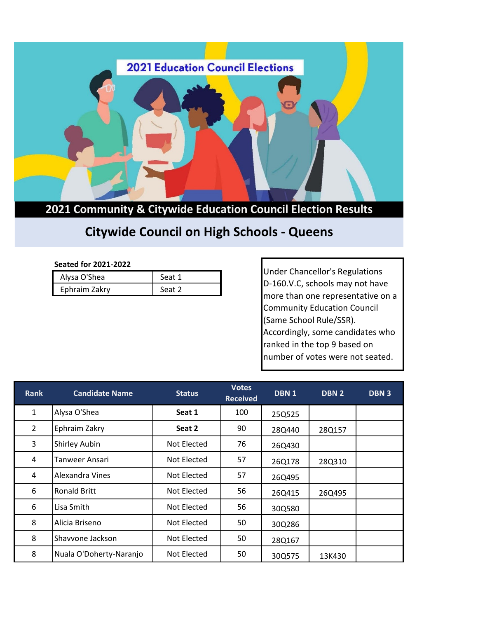

**2021 Community & Citywide Education Council Election Results**

## **Citywide Council on High Schools - Queens**

## **Seated for 2021-2022**

| Alysa O'Shea  | Seat 1 |
|---------------|--------|
| Ephraim Zakry | Seat 2 |

Under Chancellor's Regulations D-160.V.C, schools may not have more than one representative on a Community Education Council (Same School Rule/SSR). Accordingly, some candidates who ranked in the top 9 based on number of votes were not seated.

| <b>Rank</b>    | <b>Candidate Name</b>   | <b>Status</b> | <b>Votes</b><br><b>Received</b> | DBN <sub>1</sub> | DBN <sub>2</sub> | <b>DBN3</b> |
|----------------|-------------------------|---------------|---------------------------------|------------------|------------------|-------------|
| $\mathbf{1}$   | Alysa O'Shea            | Seat 1        | 100                             | 25Q525           |                  |             |
| $\overline{2}$ | Ephraim Zakry           | Seat 2        | 90                              | 28Q440           | 28Q157           |             |
| 3              | <b>Shirley Aubin</b>    | Not Elected   | 76                              | 26Q430           |                  |             |
| 4              | Tanweer Ansari          | Not Elected   | 57                              | 26Q178           | 28Q310           |             |
| 4              | Alexandra Vines         | Not Elected   | 57                              | 26Q495           |                  |             |
| 6              | <b>Ronald Britt</b>     | Not Elected   | 56                              | 26Q415           | 26Q495           |             |
| 6              | Lisa Smith              | Not Elected   | 56                              | 30Q580           |                  |             |
| 8              | Alicia Briseno          | Not Elected   | 50                              | 30Q286           |                  |             |
| 8              | Shavvone Jackson        | Not Elected   | 50                              | 28Q167           |                  |             |
| 8              | Nuala O'Doherty-Naranjo | Not Elected   | 50                              | 30Q575           | 13K430           |             |